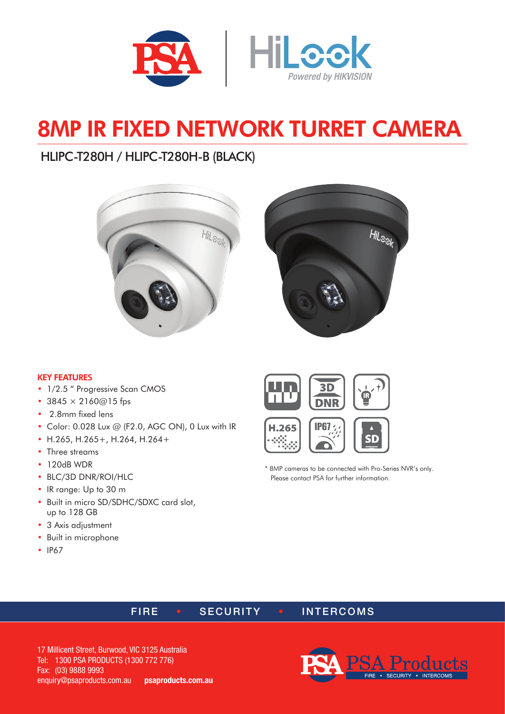

# 8MP IR FIXED NETWORK TURRET CAMERA

# HLIPC-T280H / HLIPC-T280H-B (BLACK)





#### KEY FEATURES

- 1/2.5 " Progressive Scan CMOS
- $3845 \times 2160@15$  fps
- 2.8mm fixed lens
- Color: 0.028 Lux @ (F2.0, AGC ON), 0 Lux with IR
- H.265, H.265+, H.264, H.264+
- Three streams
- 120dB WDR
- BLC/3D DNR/ROI/HLC
- IR range: Up to 30 m
- Built in micro SD/SDHC/SDXC card slot, up to 128 GB
- 3 Axis adjustment
- Built in microphone
- IP67





\* 8MP cameras to be connected with Pro-Series NVR's only. Please contact PSA for further information.

### FIRE • SECURITY • INTERCOMS

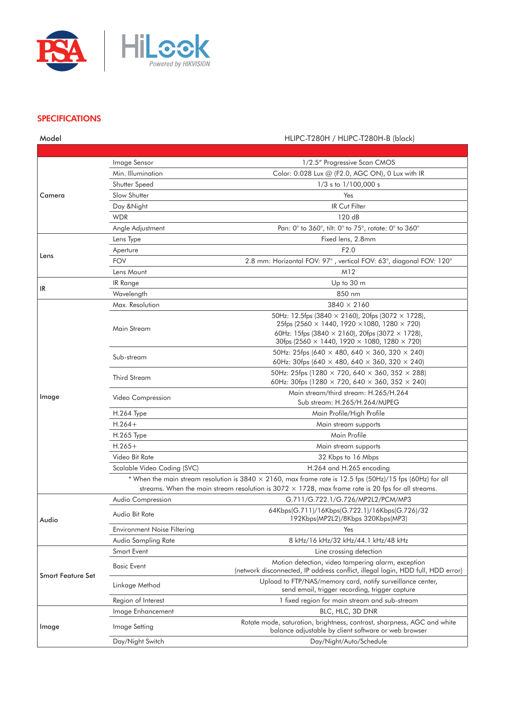

#### **SPECIFICATIONS**

| Model                                                                                                      |                                    | HLIPC-T280H / HLIPC-T280H-B (black)                                                                                                      |  |
|------------------------------------------------------------------------------------------------------------|------------------------------------|------------------------------------------------------------------------------------------------------------------------------------------|--|
|                                                                                                            |                                    |                                                                                                                                          |  |
| Camera                                                                                                     | Image Sensor                       | 1/2.5" Progressive Scan CMOS                                                                                                             |  |
|                                                                                                            | Min. Illumination                  | Color: 0.028 Lux @ (F2.0, AGC ON), 0 Lux with IR                                                                                         |  |
|                                                                                                            | Shutter Speed                      | $1/3$ s to $1/100,000$ s                                                                                                                 |  |
|                                                                                                            | Slow Shutter                       | Yes                                                                                                                                      |  |
|                                                                                                            | Day & Night                        | IR Cut Filter                                                                                                                            |  |
|                                                                                                            | <b>WDR</b>                         | 120 dB                                                                                                                                   |  |
|                                                                                                            | Angle Adjustment                   | Pan: 0° to 360°, tilt: 0° to 75°, rotate: 0° to 360°                                                                                     |  |
| Lens                                                                                                       | Lens Type                          | Fixed lens, 2.8mm                                                                                                                        |  |
|                                                                                                            | Aperture                           | F2.0                                                                                                                                     |  |
|                                                                                                            | <b>FOV</b>                         | 2.8 mm: Horizontal FOV: 97°, vertical FOV: 63°, diagonal FOV: 120°                                                                       |  |
|                                                                                                            | Lens Mount                         | M12                                                                                                                                      |  |
| IR                                                                                                         | IR Range                           | Up to 30 m                                                                                                                               |  |
|                                                                                                            | Wavelength                         | 850 nm                                                                                                                                   |  |
|                                                                                                            | Max. Resolution                    | $3840 \times 2160$                                                                                                                       |  |
|                                                                                                            |                                    | 50Hz: 12.5fps (3840 $\times$ 2160), 20fps (3072 $\times$ 1728),                                                                          |  |
|                                                                                                            | Main Stream                        | 25fps (2560 $\times$ 1440, 1920 $\times$ 1080, 1280 $\times$ 720)                                                                        |  |
|                                                                                                            |                                    | 60Hz: 15fps (3840 $\times$ 2160), 20fps (3072 $\times$ 1728),                                                                            |  |
|                                                                                                            |                                    | 30fps (2560 $\times$ 1440, 1920 $\times$ 1080, 1280 $\times$ 720)                                                                        |  |
|                                                                                                            | Sub-stream                         | 50Hz: 25fps (640 $\times$ 480, 640 $\times$ 360, 320 $\times$ 240)<br>60Hz: 30fps (640 $\times$ 480, 640 $\times$ 360, 320 $\times$ 240) |  |
|                                                                                                            |                                    | 50Hz: 25fps (1280 $\times$ 720, 640 $\times$ 360, 352 $\times$ 288)                                                                      |  |
| Image                                                                                                      | Third Stream                       | 60Hz: 30fps (1280 $\times$ 720, 640 $\times$ 360, 352 $\times$ 240)                                                                      |  |
|                                                                                                            |                                    | Main stream/third stream: H.265/H.264                                                                                                    |  |
|                                                                                                            | Video Compression                  | Sub stream: H.265/H.264/MJPEG                                                                                                            |  |
|                                                                                                            | <b>H.264 Type</b>                  | Main Profile/High Profile                                                                                                                |  |
|                                                                                                            | $H.264+$                           | Main stream supports                                                                                                                     |  |
|                                                                                                            | H.265 Type                         | Main Profile                                                                                                                             |  |
|                                                                                                            | $H.265+$                           | Main stream supports                                                                                                                     |  |
|                                                                                                            | Video Bit Rate                     | 32 Kbps to 16 Mbps                                                                                                                       |  |
|                                                                                                            | Scalable Video Coding (SVC)        | H.264 and H.265 encoding                                                                                                                 |  |
|                                                                                                            |                                    | * When the main stream resolution is $3840 \times 2160$ , max frame rate is 12.5 fps $(50Hz)/15$ fps $(60Hz)$ for all                    |  |
| streams. When the main stream resolution is $3072 \times 1728$ , max frame rate is 20 fps for all streams. |                                    |                                                                                                                                          |  |
| Audio                                                                                                      | Audio Compression                  | G.711/G.722.1/G.726/MP2L2/PCM/MP3                                                                                                        |  |
|                                                                                                            | Audio Bit Rate                     | 64Kbps(G.711)/16Kbps(G.722.1)/16Kbps(G.726)/32                                                                                           |  |
|                                                                                                            |                                    | 192Kbps(MP2L2)/8Kbps 320Kbps(MP3)                                                                                                        |  |
|                                                                                                            | <b>Environment Noise Filtering</b> | Yes                                                                                                                                      |  |
|                                                                                                            | Audio Sampling Rate                | 8 kHz/16 kHz/32 kHz/44.1 kHz/48 kHz                                                                                                      |  |
| <b>Smart Feature Set</b><br>Image                                                                          | Smart Event                        | Line crossing detection                                                                                                                  |  |
|                                                                                                            | <b>Basic Event</b>                 | Motion detection, video tampering alarm, exception                                                                                       |  |
|                                                                                                            |                                    | (network disconnected, IP address conflict, illegal login, HDD full, HDD error)                                                          |  |
|                                                                                                            | Linkage Method                     | Upload to FTP/NAS/memory card, notify surveillance center,<br>send email, trigger recording, trigger capture                             |  |
|                                                                                                            | Region of Interest                 | 1 fixed region for main stream and sub-stream                                                                                            |  |
|                                                                                                            | Image Enhancement                  | BLC, HLC, 3D DNR                                                                                                                         |  |
|                                                                                                            |                                    | Rotate mode, saturation, brightness, contrast, sharpness, AGC and white                                                                  |  |
|                                                                                                            | Image Setting                      | balance adjustable by client software or web browser                                                                                     |  |
|                                                                                                            | Day/Night Switch                   | Day/Night/Auto/Schedule                                                                                                                  |  |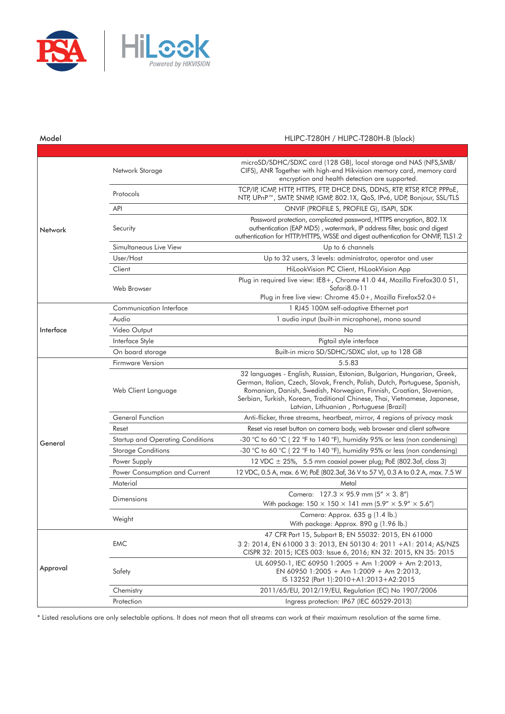

#### Model HLIPC-T280H / HLIPC-T280H-B (black)

| Network   | Network Storage                  | microSD/SDHC/SDXC card (128 GB), local storage and NAS (NFS, SMB/<br>CIFS), ANR Together with high-end Hikvision memory card, memory card<br>encryption and health detection are supported.                                                                                                                                                             |
|-----------|----------------------------------|---------------------------------------------------------------------------------------------------------------------------------------------------------------------------------------------------------------------------------------------------------------------------------------------------------------------------------------------------------|
|           | Protocols                        | TCP/IP, ICMP, HTTP, HTTPS, FTP, DHCP, DNS, DDNS, RTP, RTSP, RTCP, PPPOE,<br>NTP, UPnP™, SMTP, SNMP, IGMP, 802.1X, QoS, IPv6, UDP, Bonjour, SSL/TLS                                                                                                                                                                                                      |
|           | API                              | ONVIF (PROFILE S, PROFILE G), ISAPI, SDK                                                                                                                                                                                                                                                                                                                |
|           | Security                         | Password protection, complicated password, HTTPS encryption, 802.1X<br>authentication (EAP MD5), watermark, IP address filter, basic and digest<br>authentication for HTTP/HTTPS, WSSE and digest authentication for ONVIF, TLS1.2                                                                                                                      |
|           | Simultaneous Live View           | Up to 6 channels                                                                                                                                                                                                                                                                                                                                        |
|           | User/Host                        | Up to 32 users, 3 levels: administrator, operator and user                                                                                                                                                                                                                                                                                              |
|           | Client                           | HiLookVision PC Client, HiLookVision App                                                                                                                                                                                                                                                                                                                |
|           | Web Browser                      | Plug in required live view: IE8+, Chrome 41.0 44, Mozilla Firefox30.0 51,<br>Safari8.0-11<br>Plug in free live view: Chrome 45.0+, Mozilla Firefox52.0+                                                                                                                                                                                                 |
|           | Communication Interface          | 1 RJ45 100M self-adaptive Ethernet port                                                                                                                                                                                                                                                                                                                 |
|           | Audio                            | 1 audio input (built-in microphone), mono sound                                                                                                                                                                                                                                                                                                         |
| Interface | Video Output                     | No                                                                                                                                                                                                                                                                                                                                                      |
|           | Interface Style                  | Pigtail style interface                                                                                                                                                                                                                                                                                                                                 |
|           | On board storage                 | Built-in micro SD/SDHC/SDXC slot, up to 128 GB                                                                                                                                                                                                                                                                                                          |
| General   | Firmware Version                 | 5.5.83                                                                                                                                                                                                                                                                                                                                                  |
|           | Web Client Language              | 32 languages - English, Russian, Estonian, Bulgarian, Hungarian, Greek,<br>German, Italian, Czech, Slovak, French, Polish, Dutch, Portuguese, Spanish,<br>Romanian, Danish, Swedish, Norwegian, Finnish, Croatian, Slovenian,<br>Serbian, Turkish, Korean, Traditional Chinese, Thai, Vietnamese, Japanese,<br>Latvian, Lithuanian, Portuguese (Brazil) |
|           | General Function                 | Anti-flicker, three streams, heartbeat, mirror, 4 regions of privacy mask                                                                                                                                                                                                                                                                               |
|           | Reset                            | Reset via reset button on camera body, web browser and client software                                                                                                                                                                                                                                                                                  |
|           | Startup and Operating Conditions | -30 °C to 60 °C (22 °F to 140 °F), humidity 95% or less (non condensing)                                                                                                                                                                                                                                                                                |
|           | <b>Storage Conditions</b>        | -30 °C to 60 °C (22 °F to 140 °F), humidity 95% or less (non condensing)                                                                                                                                                                                                                                                                                |
|           | Power Supply                     | 12 VDC $\pm$ 25%, 5.5 mm coaxial power plug; PoE (802.3af, class 3)                                                                                                                                                                                                                                                                                     |
|           | Power Consumption and Current    | 12 VDC, 0.5 A, max. 6 W; PoE (802.3af, 36 V to 57 V), 0.3 A to 0.2 A, max. 7.5 W                                                                                                                                                                                                                                                                        |
|           | Material                         | Metal                                                                                                                                                                                                                                                                                                                                                   |
|           | Dimensions                       | Camera: $127.3 \times 95.9$ mm (5" $\times$ 3.8")<br>With package: $150 \times 150 \times 141$ mm $(5.9'' \times 5.9'' \times 5.6'')$                                                                                                                                                                                                                   |
|           | Weight                           | Camera: Approx. 635 g (1.4 lb.)<br>With package: Approx. 890 g (1.96 lb.)                                                                                                                                                                                                                                                                               |
| Approval  | <b>EMC</b>                       | 47 CFR Part 15, Subpart B; EN 55032: 2015, EN 61000<br>3 2: 2014, EN 61000 3 3: 2013, EN 50130 4: 2011 +A1: 2014; AS/NZS<br>CISPR 32: 2015; ICES 003: Issue 6, 2016; KN 32: 2015, KN 35: 2015                                                                                                                                                           |
|           | Safety                           | UL 60950-1, IEC 60950 1:2005 + Am 1:2009 + Am 2:2013,<br>EN 60950 1:2005 + Am 1:2009 + Am 2:2013,<br>IS 13252 (Part 1):2010+A1:2013+A2:2015                                                                                                                                                                                                             |
|           | Chemistry                        | 2011/65/EU, 2012/19/EU, Regulation (EC) No 1907/2006                                                                                                                                                                                                                                                                                                    |
|           | Protection                       | Ingress protection: IP67 (IEC 60529-2013)                                                                                                                                                                                                                                                                                                               |

\* Listed resolutions are only selectable options. It does not mean that all streams can work at their maximum resolution at the same time.